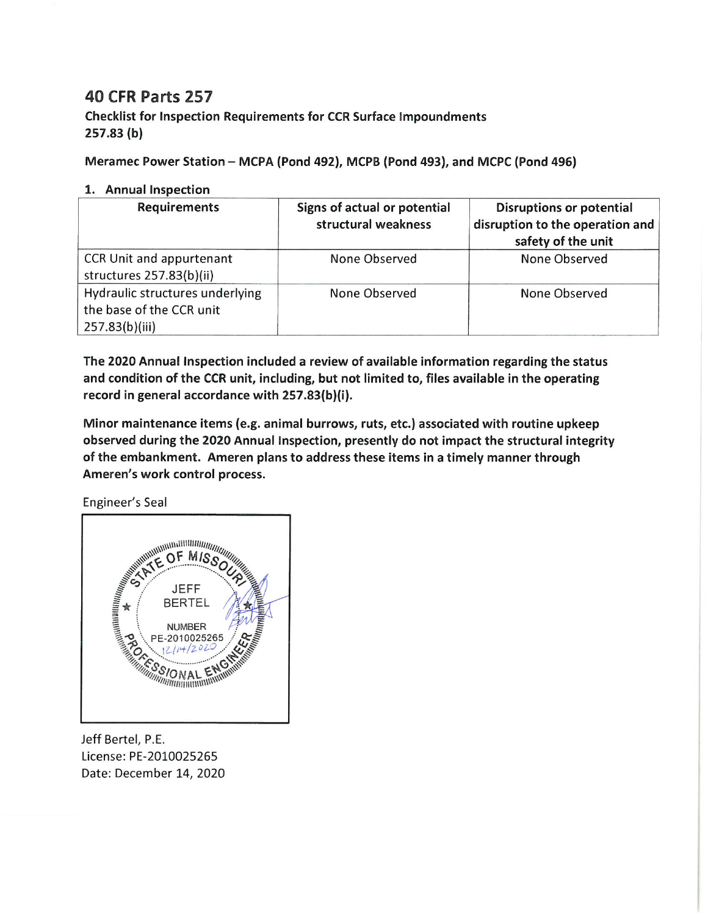## **40 CFR Parts 257**

**Checklist for Inspection Requirements for CCR Surface Impoundments**  $257.83(b)$ 

Meramec Power Station - MCPA (Pond 492), MCPB (Pond 493), and MCPC (Pond 496)

## 1. Annual Inspection

| <b>Requirements</b>                                                           | Signs of actual or potential<br>structural weakness | <b>Disruptions or potential</b><br>disruption to the operation and<br>safety of the unit |
|-------------------------------------------------------------------------------|-----------------------------------------------------|------------------------------------------------------------------------------------------|
| CCR Unit and appurtenant<br>structures 257.83(b)(ii)                          | None Observed                                       | None Observed                                                                            |
| Hydraulic structures underlying<br>the base of the CCR unit<br>257.83(b)(iii) | None Observed                                       | None Observed                                                                            |

The 2020 Annual Inspection included a review of available information regarding the status and condition of the CCR unit, including, but not limited to, files available in the operating record in general accordance with 257.83(b)(i).

Minor maintenance items (e.g. animal burrows, ruts, etc.) associated with routine upkeep observed during the 2020 Annual Inspection, presently do not impact the structural integrity of the embankment. Ameren plans to address these items in a timely manner through Ameren's work control process.

Engineer's Seal



Jeff Bertel, P.E. License: PE-2010025265 Date: December 14, 2020